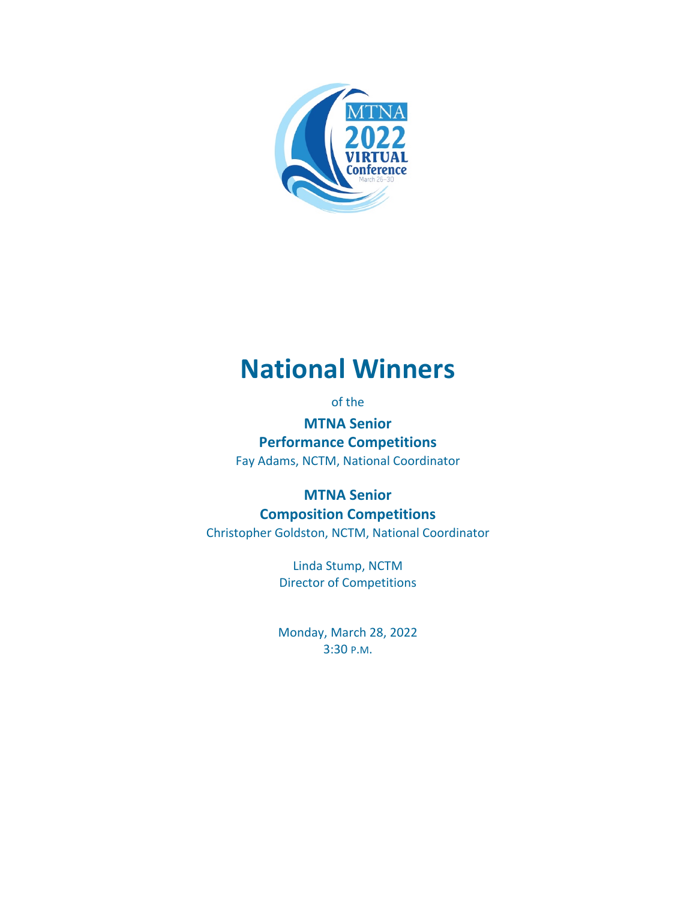

# **National Winners**

of the

**MTNA Senior Performance Competitions** Fay Adams, NCTM, National Coordinator

**MTNA Senior Composition Competitions** Christopher Goldston, NCTM, National Coordinator

> Linda Stump, NCTM Director of Competitions

Monday, March 28, 2022 3:30 P.M.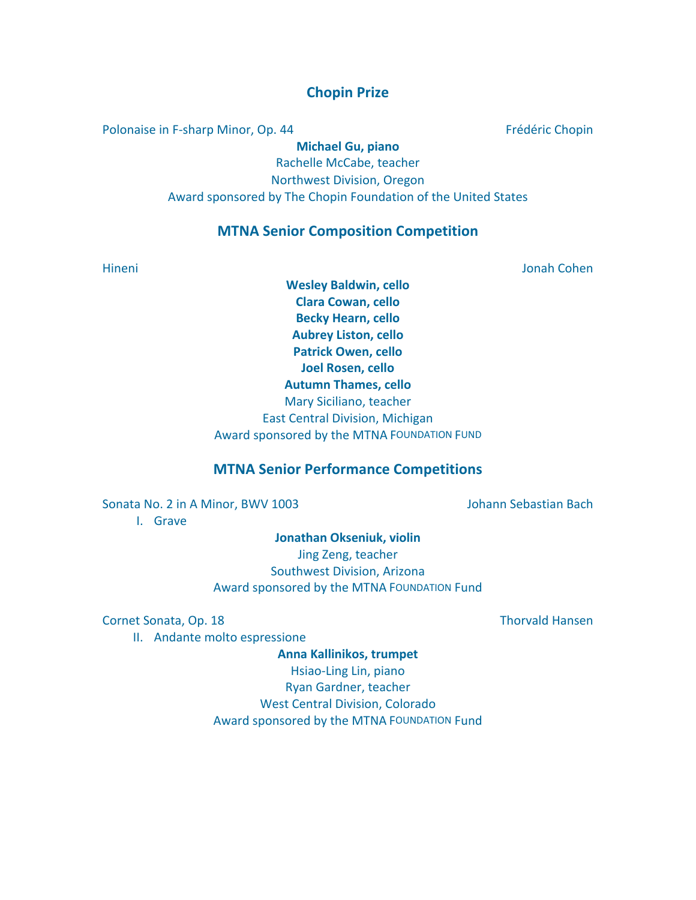## **Chopin Prize**

Polonaise in F-sharp Minor, Op. 44 Frédéric Chopin

**Michael Gu, piano** Rachelle McCabe, teacher Northwest Division, Oregon Award sponsored by The Chopin Foundation of the United States

### **MTNA Senior Composition Competition**

Hineni Jonah Cohen

**Wesley Baldwin, cello Clara Cowan, cello Becky Hearn, cello Aubrey Liston, cello Patrick Owen, cello Joel Rosen, cello Autumn Thames, cello** Mary Siciliano, teacher East Central Division, Michigan Award sponsored by the MTNA FOUNDATION FUND

### **MTNA Senior Performance Competitions**

Sonata No. 2 in A Minor, BWV 1003 Johann Sebastian Bach

I. Grave

**Jonathan Okseniuk, violin**

Jing Zeng, teacher Southwest Division, Arizona Award sponsored by the MTNA FOUNDATION Fund

Cornet Sonata, Op. 18 Thorvald Hansen

II. Andante molto espressione

**Anna Kallinikos, trumpet** Hsiao-Ling Lin, piano Ryan Gardner, teacher West Central Division, Colorado Award sponsored by the MTNA FOUNDATION Fund